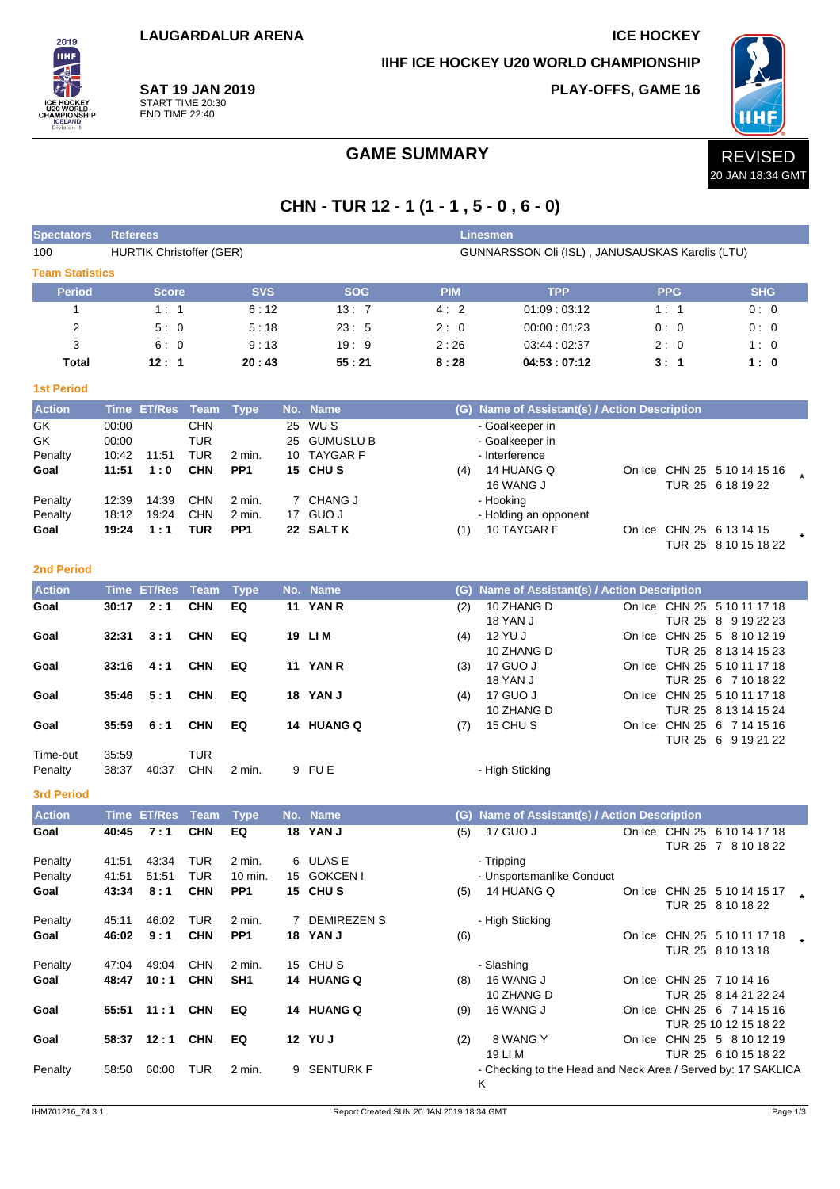**LAUGARDALUR ARENA ICE HOCKEY** 

**IIHF ICE HOCKEY U20 WORLD CHAMPIONSHIP**

**PLAY-OFFS, GAME 16**



**SAT 19 JAN 2019** START TIME 20:30 END TIME 22:40

2019 **IIHF** 

## GAME SUMMARY **REVISED**

# **CHN - TUR 12 - 1 (1 - 1 , 5 - 0 , 6 - 0)**

| <b>Spectators</b>      | <b>Referees</b><br>Linesmen |                    |                                                                                    |                            |    |                        |            |                                                              |  |            |                                                     |  |
|------------------------|-----------------------------|--------------------|------------------------------------------------------------------------------------|----------------------------|----|------------------------|------------|--------------------------------------------------------------|--|------------|-----------------------------------------------------|--|
| 100                    |                             |                    | <b>HURTIK Christoffer (GER)</b><br>GUNNARSSON Oli (ISL), JANUSAUSKAS Karolis (LTU) |                            |    |                        |            |                                                              |  |            |                                                     |  |
| <b>Team Statistics</b> |                             |                    |                                                                                    |                            |    |                        |            |                                                              |  |            |                                                     |  |
| <b>Period</b>          |                             | <b>Score</b>       |                                                                                    | <b>SVS</b>                 |    | <b>SOG</b>             | <b>PIM</b> | <b>TPP</b>                                                   |  | <b>PPG</b> | <b>SHG</b>                                          |  |
| $\mathbf{1}$           |                             | 1:1                |                                                                                    | 6:12                       |    | 13:7                   | 4:2        | 01:09:03:12                                                  |  | 1:1        | 0:0                                                 |  |
| $\overline{2}$         |                             | 5:0                |                                                                                    | 5:18                       |    | 23:5                   | 2:0        | 00:00:01:23                                                  |  | 0:0        | 0:0                                                 |  |
| 3                      |                             | 6:0                |                                                                                    | 9:13                       |    | 19:9                   | 2:26       | 03:44:02:37                                                  |  | 2:0        | 1:0                                                 |  |
| <b>Total</b>           |                             | 12:1               |                                                                                    | 20:43                      |    | 55:21                  | 8:28       | 04:53:07:12                                                  |  | 3:1        | 1:0                                                 |  |
| <b>1st Period</b>      |                             |                    |                                                                                    |                            |    |                        |            |                                                              |  |            |                                                     |  |
| <b>Action</b>          |                             | Time ET/Res Team   |                                                                                    | <b>Type</b>                |    | No. Name               |            | (G) Name of Assistant(s) / Action Description                |  |            |                                                     |  |
| GK                     | 00:00                       |                    | <b>CHN</b>                                                                         |                            | 25 | WU S                   |            | - Goalkeeper in                                              |  |            |                                                     |  |
| GK                     | 00:00                       |                    | <b>TUR</b>                                                                         |                            |    | 25 GUMUSLU B           |            | - Goalkeeper in                                              |  |            |                                                     |  |
| Penalty                | 10:42                       | 11:51              | TUR                                                                                | 2 min.                     |    | 10 TAYGAR F            |            | - Interference                                               |  |            |                                                     |  |
| Goal                   | 11:51                       | 1:0                | <b>CHN</b>                                                                         | PP <sub>1</sub>            |    | 15 CHUS                | (4)        | 14 HUANG Q                                                   |  |            | On Ice CHN 25 5 10 14 15 16                         |  |
|                        |                             |                    |                                                                                    |                            |    |                        |            | 16 WANG J                                                    |  |            | TUR 25 6 18 19 22                                   |  |
| Penalty                | 12:39                       | 14:39              | <b>CHN</b>                                                                         | 2 min.                     |    | 7 CHANG J              |            | - Hooking                                                    |  |            |                                                     |  |
| Penalty<br>Goal        | 18:12<br>19:24              | 19:24<br>1:1       | CHN<br><b>TUR</b>                                                                  | 2 min.<br>PP <sub>1</sub>  |    | 17 GUO J<br>22 SALTK   | (1)        | - Holding an opponent<br>10 TAYGAR F                         |  |            | On Ice CHN 25 6 13 14 15                            |  |
|                        |                             |                    |                                                                                    |                            |    |                        |            |                                                              |  |            | TUR 25 8 10 15 18 22                                |  |
|                        |                             |                    |                                                                                    |                            |    |                        |            |                                                              |  |            |                                                     |  |
| <b>2nd Period</b>      |                             |                    |                                                                                    |                            |    |                        |            |                                                              |  |            |                                                     |  |
| <b>Action</b>          |                             | <b>Time ET/Res</b> | Team                                                                               | <b>Type</b>                |    | No. Name               |            | (G) Name of Assistant(s) / Action Description                |  |            |                                                     |  |
| Goal                   | 30:17                       | 2:1                | <b>CHN</b>                                                                         | EQ                         |    | 11 YAN R               | (2)        | 10 ZHANG D                                                   |  |            | On Ice CHN 25 5 10 11 17 18                         |  |
|                        | 32:31                       | 3:1                | <b>CHN</b>                                                                         | EQ                         |    | 19 LIM                 |            | 18 YAN J<br>12 YU J                                          |  |            | TUR 25 8 9 19 22 23<br>On Ice CHN 25 5 8 10 12 19   |  |
| Goal                   |                             |                    |                                                                                    |                            |    |                        | (4)        | 10 ZHANG D                                                   |  |            | TUR 25 8 13 14 15 23                                |  |
| Goal                   | 33:16                       | 4:1                | <b>CHN</b>                                                                         | EQ                         |    | 11 YAN R               | (3)        | 17 GUO J                                                     |  |            | On Ice CHN 25 5 10 11 17 18                         |  |
|                        |                             |                    |                                                                                    |                            |    |                        |            | 18 YAN J                                                     |  |            | TUR 25 6 7 10 18 22                                 |  |
| Goal                   | 35:46                       | 5:1                | <b>CHN</b>                                                                         | EQ                         |    | 18 YAN J               | (4)        | 17 GUO J                                                     |  |            | On Ice CHN 25 5 10 11 17 18                         |  |
|                        |                             |                    |                                                                                    |                            |    |                        |            | 10 ZHANG D                                                   |  |            | TUR 25 8 13 14 15 24                                |  |
| Goal                   | 35:59                       | 6:1                | <b>CHN</b>                                                                         | EQ                         |    | 14 HUANG Q             | (7)        | 15 CHU S                                                     |  |            | On Ice CHN 25 6 7 14 15 16                          |  |
|                        |                             |                    |                                                                                    |                            |    |                        |            |                                                              |  |            | TUR 25 6 9 19 21 22                                 |  |
| Time-out<br>Penalty    | 35:59<br>38:37              | 40:37              | <b>TUR</b><br>CHN                                                                  | 2 min.                     |    | 9 FUE                  |            | - High Sticking                                              |  |            |                                                     |  |
|                        |                             |                    |                                                                                    |                            |    |                        |            |                                                              |  |            |                                                     |  |
| <b>3rd Period</b>      |                             |                    |                                                                                    |                            |    |                        |            |                                                              |  |            |                                                     |  |
| <b>Action</b>          |                             | Time ET/Res        | Team                                                                               | <b>Type</b>                |    | No. Name               |            | (G) Name of Assistant(s) / Action Description                |  |            |                                                     |  |
| Goal                   | 40:45                       | 7:1                | <b>CHN</b>                                                                         | EQ                         |    | 18 YAN J               | (5)        | 17 GUO J                                                     |  |            | On Ice CHN 25 6 10 14 17 18                         |  |
|                        |                             |                    |                                                                                    |                            |    |                        |            |                                                              |  |            | TUR 25 7 8 10 18 22                                 |  |
| Penalty                | 41:51                       | 43:34              | <b>TUR</b>                                                                         | 2 min.                     |    | 6 ULAS E               |            | - Tripping                                                   |  |            |                                                     |  |
| Penalty<br>Goal        | 41:51<br>43:34              | 51:51<br>8:1       | <b>TUR</b><br><b>CHN</b>                                                           | 10 min.<br>PP <sub>1</sub> |    | 15 GOKCEN I<br>15 CHUS | (5)        | - Unsportsmanlike Conduct<br>14 HUANG Q                      |  |            | On Ice CHN 25 5 10 14 15 17                         |  |
|                        |                             |                    |                                                                                    |                            |    |                        |            |                                                              |  |            | TUR 25 8 10 18 22                                   |  |
| Penalty                | 45:11                       | 46:02              | TUR                                                                                | 2 min.                     |    | 7 DEMIREZEN S          |            | - High Sticking                                              |  |            |                                                     |  |
| Goal                   | 46:02                       | 9:1                | <b>CHN</b>                                                                         | PP <sub>1</sub>            |    | 18 YAN J               | (6)        |                                                              |  |            | On Ice CHN 25 5 10 11 17 18<br>$\star$              |  |
|                        |                             |                    |                                                                                    |                            |    |                        |            |                                                              |  |            | TUR 25 8 10 13 18                                   |  |
| Penalty                | 47:04                       | 49:04              | <b>CHN</b>                                                                         | 2 min.                     |    | 15 CHUS                |            | - Slashing                                                   |  |            |                                                     |  |
| Goal                   | 48:47                       | 10:1               | <b>CHN</b>                                                                         | SH1                        |    | 14 HUANG Q             | (8)        | 16 WANG J                                                    |  |            | On Ice CHN 25 7 10 14 16                            |  |
|                        |                             |                    |                                                                                    |                            |    |                        |            | 10 ZHANG D                                                   |  |            | TUR 25 8 14 21 22 24                                |  |
| Goal                   | 55:51                       | 11:1               | <b>CHN</b>                                                                         | EQ                         |    | 14 HUANG Q             | (9)        | 16 WANG J                                                    |  |            | On Ice CHN 25 6 7 14 15 16<br>TUR 25 10 12 15 18 22 |  |
| Goal                   |                             | 58:37 12:1 CHN     |                                                                                    | EQ                         |    | 12 YU J                | (2)        | 8 WANG Y                                                     |  |            | On Ice CHN 25 5 8 10 12 19                          |  |
|                        |                             |                    |                                                                                    |                            |    |                        |            | 19 LI M                                                      |  |            | TUR 25 6 10 15 18 22                                |  |
| Penalty                | 58.50                       | 60:00 TUR          |                                                                                    | 2 min.                     |    | 9 SENTURK F            |            | - Checking to the Head and Neck Area / Served by: 17 SAKLICA |  |            |                                                     |  |
|                        |                             |                    |                                                                                    |                            |    |                        |            | Κ                                                            |  |            |                                                     |  |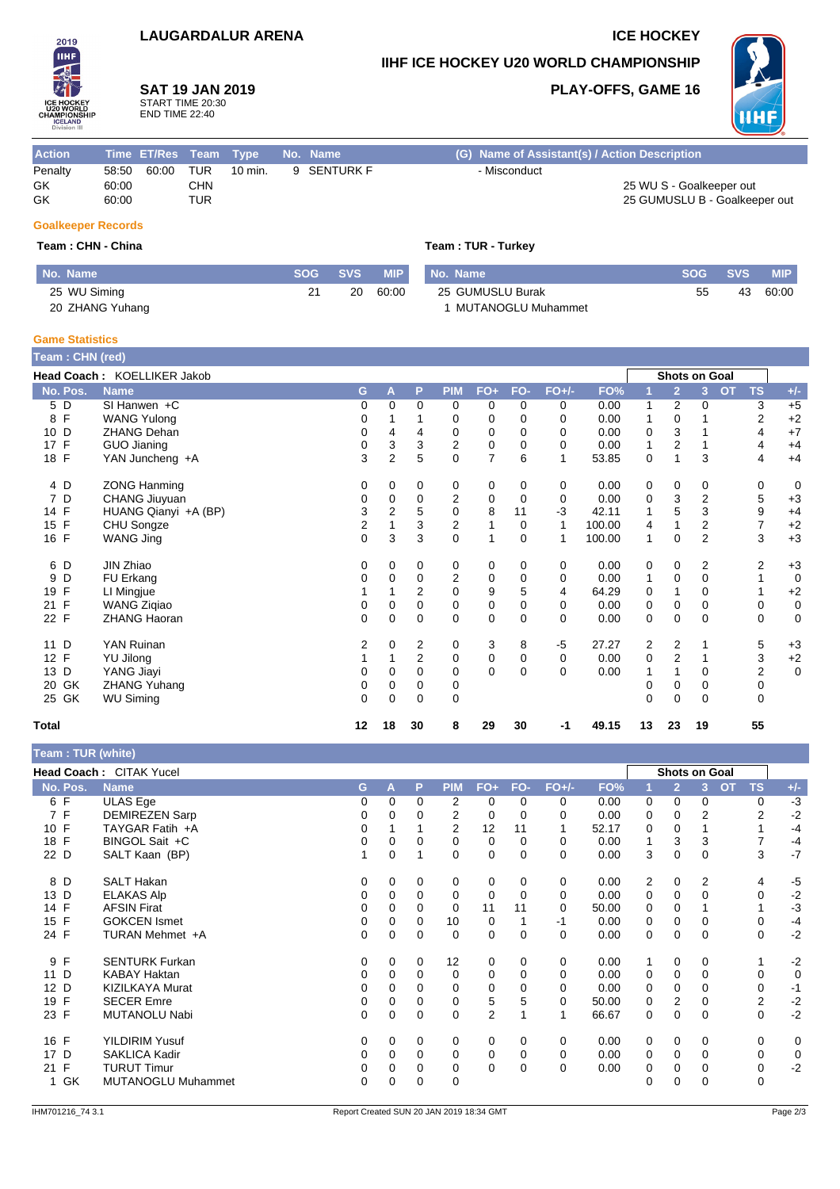## **LAUGARDALUR ARENA ICE HOCKEY**

**SAT 19 JAN 2019** START TIME 20:30 END TIME 22:40

**No.** Name **SOG SVS** 

**IIHF ICE HOCKEY U20 WORLD CHAMPIONSHIP**

**PLAY-OFFS, GAME 16**



 $60:00$ 

| <b>Action</b> |       |       |            | Time ET/Res Team Type | No. Name    | (G) Name of Assistant(s) / Action Description |
|---------------|-------|-------|------------|-----------------------|-------------|-----------------------------------------------|
| Penalty       | 58:50 | 60:00 | <b>TUR</b> | 10 min.               | 9 SENTURK F | - Misconduct                                  |
| GK            | 60:00 |       | CHN        |                       |             | 25 WU S - Goalkeeper out                      |
| GK            | 60:00 |       | TUR        |                       |             | 25 GUMUSLU B - Goalkeeper out                 |
|               |       |       |            |                       |             |                                               |

 $\overline{21}$  20

### **Goalkeeper Records**

2019 **IIHF** 

25 WU Siming 20 ZHANG Yuhang

**Team : CHN - China Team : CHN - China** 

1 MUTANOGLU Muhammet

| <b>MIP</b> | <b>No. Name</b>  |    | SOG SVS | <b>MIP</b> |
|------------|------------------|----|---------|------------|
| 60:00      | 25 GUMUSLU Burak | 55 |         | 43 60:00   |

**Game Statistics**

| Team : CHN (red)   |                             |             |          |                |                         |                |             |          |        |              |                         |                |                        |                                 |   |
|--------------------|-----------------------------|-------------|----------|----------------|-------------------------|----------------|-------------|----------|--------|--------------|-------------------------|----------------|------------------------|---------------------------------|---|
|                    | Head Coach: KOELLIKER Jakob |             |          |                |                         |                |             |          |        |              | Shots on Goal           |                |                        |                                 |   |
| No. Pos.           | <b>Name</b>                 | G           | A        | P              | <b>PIM</b>              | $FO+$          | FO-         | $FO+/-$  | FO%    |              | $\overline{2}$          | 3              | <b>TS</b><br><b>OT</b> | $+/-$                           |   |
| 5 D                | SI Hanwen $+C$              | 0           | $\Omega$ | $\mathbf 0$    | 0                       | 0              | 0           | 0        | 0.00   | 1            | 2                       | 0              |                        | $+5$<br>3                       |   |
| $\mathsf{F}$<br>8  | <b>WANG Yulong</b>          | 0           |          |                | 0                       | 0              | $\Omega$    | 0        | 0.00   | 1            | 0                       |                |                        | 2<br>$+2$                       |   |
| 10 D               | <b>ZHANG Dehan</b>          | 0           | 4        | 4              | 0                       | 0              | 0           | 0        | 0.00   | 0            | 3                       |                |                        | $+7$<br>4                       |   |
| $\mathsf{F}$<br>17 | <b>GUO Jianing</b>          | 0           | 3        | 3              | 2                       | $\mathbf 0$    | 0           | 0        | 0.00   | $\mathbf{1}$ | $\overline{\mathbf{c}}$ |                |                        | $+4$<br>4                       |   |
| 18 F               | YAN Juncheng +A             | 3           | 2        | 5              | $\Omega$                | $\overline{7}$ | 6           |          | 53.85  | 0            |                         | 3              |                        | $+4$<br>4                       |   |
| 4 D                | <b>ZONG Hanming</b>         | 0           | 0        | 0              | 0                       | 0              | 0           | 0        | 0.00   | 0            | 0                       | 0              |                        | 0                               | 0 |
| 7 D                | CHANG Jiuyuan               | 0           | 0        | 0              | $\overline{2}$          | 0              | 0           | 0        | 0.00   | 0            | 3                       | 2              |                        | 5<br>$+3$                       |   |
| 14 F               | HUANG Qianyi +A (BP)        | 3           | 2        | 5              | $\mathbf 0$             | 8              | 11          | $-3$     | 42.11  | 1            | 5                       | 3              |                        | 9<br>$+4$                       |   |
| 15 F               | CHU Songze                  | 2           |          | 3              | $\overline{\mathbf{c}}$ | $\mathbf{1}$   | 0           | 1        | 100.00 | 4            |                         | 2              |                        | $\overline{7}$<br>$+2$          |   |
| 16 F               | WANG Jing                   | $\mathbf 0$ | 3        | 3              | $\Omega$                | $\overline{1}$ | $\mathbf 0$ | 1        | 100.00 | 1            | 0                       | $\overline{2}$ |                        | 3<br>$+3$                       |   |
| 6 D                | JIN Zhiao                   | 0           | 0        | 0              | 0                       | 0              | 0           | 0        | 0.00   | 0            | 0                       | 2              |                        | $\overline{\mathbf{c}}$<br>$+3$ |   |
| D<br>9             | FU Erkang                   | 0           | 0        | 0              | $\overline{2}$          | 0              | 0           | 0        | 0.00   | 1            | 0                       | 0              |                        |                                 | 0 |
| 19 F               | LI Mingjue                  |             |          | $\overline{2}$ | $\Omega$                | 9              | 5           | 4        | 64.29  | 0            |                         | 0              |                        | $+2$                            |   |
| $\mathsf{F}$<br>21 | <b>WANG Zigiao</b>          | 0           | 0        | 0              | 0                       | 0              | 0           | 0        | 0.00   | 0            | 0                       | 0              |                        | 0                               | 0 |
| 22 F               | <b>ZHANG Haoran</b>         | $\Omega$    | $\Omega$ | $\Omega$       | $\Omega$                | $\mathbf 0$    | $\Omega$    | $\Omega$ | 0.00   | 0            | $\mathbf 0$             | $\Omega$       |                        | $\Omega$                        | 0 |
| D<br>11            | YAN Ruinan                  | 2           | 0        | 2              | 0                       | 3              | 8           | -5       | 27.27  | 2            | 2                       |                |                        | 5<br>$+3$                       |   |
| 12 F               | YU Jilong                   |             | 1        | $\overline{2}$ | 0                       | $\pmb{0}$      | $\mathbf 0$ | 0        | 0.00   | $\mathbf 0$  | $\overline{2}$          |                |                        | 3<br>$+2$                       |   |
| 13 D               | YANG Jiayi                  | 0           | $\Omega$ | $\Omega$       | 0                       | $\Omega$       | $\Omega$    | $\Omega$ | 0.00   |              |                         | 0              |                        | $\overline{\mathbf{c}}$         | 0 |
| 20 GK              | <b>ZHANG Yuhang</b>         | 0           | 0        | 0              | 0                       |                |             |          |        | 0            | 0                       | 0              |                        | 0                               |   |
| 25 GK              | <b>WU Siming</b>            | 0           | $\Omega$ | $\Omega$       | $\Omega$                |                |             |          |        | $\Omega$     | $\Omega$                | 0              |                        | $\Omega$                        |   |
| <b>Total</b>       |                             | 12          | 18       | 30             | 8                       | 29             | 30          | $-1$     | 49.15  | 13           | 23                      | 19             |                        | 55                              |   |

**Team : TUR (white)**

|          | Head Coach: CITAK Yucel |          |          |   |            |             |     |         |       |                |                | <b>Shots on Goal</b> |                  |       |
|----------|-------------------------|----------|----------|---|------------|-------------|-----|---------|-------|----------------|----------------|----------------------|------------------|-------|
| No. Pos. | <b>Name</b>             | G.       | A        | P | <b>PIM</b> | $FO+$       | FO- | $FO+/-$ | FO%   |                | $\overline{2}$ | OT<br>3              | <b>TS</b>        | $+/-$ |
| 6 F      | ULAS Ege                | 0        | $\Omega$ | 0 | 2          | 0           | 0   | 0       | 0.00  | 0              | $\mathbf 0$    | 0                    | 0                | $-3$  |
| 7 F      | <b>DEMIREZEN Sarp</b>   | 0        | 0        | 0 | 2          | 0           | 0   | 0       | 0.00  | 0              | 0              | 2                    | $\overline{2}$   | $-2$  |
| 10 F     | TAYGAR Fatih +A         | 0        |          |   | 2          | 12          | 11  |         | 52.17 | 0              | $\mathbf 0$    |                      |                  | $-4$  |
| 18 F     | BINGOL Sait +C          | 0        | 0        | 0 | 0          | $\mathbf 0$ | 0   | 0       | 0.00  | 1              | 3              | 3                    |                  | $-4$  |
| 22 D     | SALT Kaan (BP)          |          | 0        |   | 0          | 0           | 0   | 0       | 0.00  | 3              | 0              | 0                    | 3                | $-7$  |
| 8 D      | <b>SALT Hakan</b>       | 0        | 0        | 0 | 0          | 0           | 0   | 0       | 0.00  | $\overline{2}$ | 0              | 2                    | 4                | $-5$  |
| 13 D     | <b>ELAKAS Alp</b>       | 0        | 0        | 0 | 0          | 0           | 0   | 0       | 0.00  | 0              | $\mathbf 0$    | 0                    | 0                | $-2$  |
| 14 F     | <b>AFSIN Firat</b>      | 0        | 0        | 0 | 0          | 11          | 11  | 0       | 50.00 | 0              | $\mathbf 0$    |                      |                  | $-3$  |
| 15 F     | <b>GOKCEN Ismet</b>     | 0        | 0        | 0 | 10         | 0           |     | -1      | 0.00  | 0              | $\mathbf 0$    | 0                    | 0                | $-4$  |
| 24 F     | TURAN Mehmet +A         | 0        | 0        | 0 | 0          | 0           | 0   | 0       | 0.00  | 0              | 0              | 0                    | 0                | $-2$  |
| F<br>9   | <b>SENTURK Furkan</b>   | 0        | 0        | 0 | 12         | 0           | 0   | 0       | 0.00  | 1              | 0              | 0                    |                  | $-2$  |
| D<br>11  | <b>KABAY Haktan</b>     | 0        | 0        | 0 | 0          | 0           | 0   | 0       | 0.00  | 0              | $\mathbf 0$    | 0                    | 0                | 0     |
| 12 D     | <b>KIZILKAYA Murat</b>  | 0        | $\Omega$ | 0 | 0          | 0           |     | 0       | 0.00  | 0              | 0              | 0                    | 0                | $-1$  |
| 19 F     | <b>SECER Emre</b>       | 0        | 0        | 0 | 0          | 5           | 5   | 0       | 50.00 | 0              | 2              |                      | $\boldsymbol{2}$ | $-2$  |
| 23 F     | MUTANOLU Nabi           | 0        | 0        | 0 | 0          | 2           |     |         | 66.67 | 0              | $\mathbf 0$    | 0                    | $\mathbf 0$      | $-2$  |
| 16 F     | YILDIRIM Yusuf          | 0        | 0        | 0 | 0          | 0           | 0   | 0       | 0.00  | 0              | 0              | 0                    | 0                | 0     |
| D<br>17  | SAKLICA Kadir           | $\Omega$ | $\Omega$ | 0 | 0          | $\mathbf 0$ | 0   | 0       | 0.00  | 0              | 0              | 0                    | $\mathbf 0$      | 0     |
| F<br>21  | <b>TURUT Timur</b>      | 0        | 0        | 0 | 0          | 0           | 0   | 0       | 0.00  | 0              | 0              |                      | 0                | $-2$  |
| 1 GK     | MUTANOGLU Muhammet      | $\Omega$ | 0        | 0 | $\Omega$   |             |     |         |       | 0              | 0              |                      | $\mathbf 0$      |       |